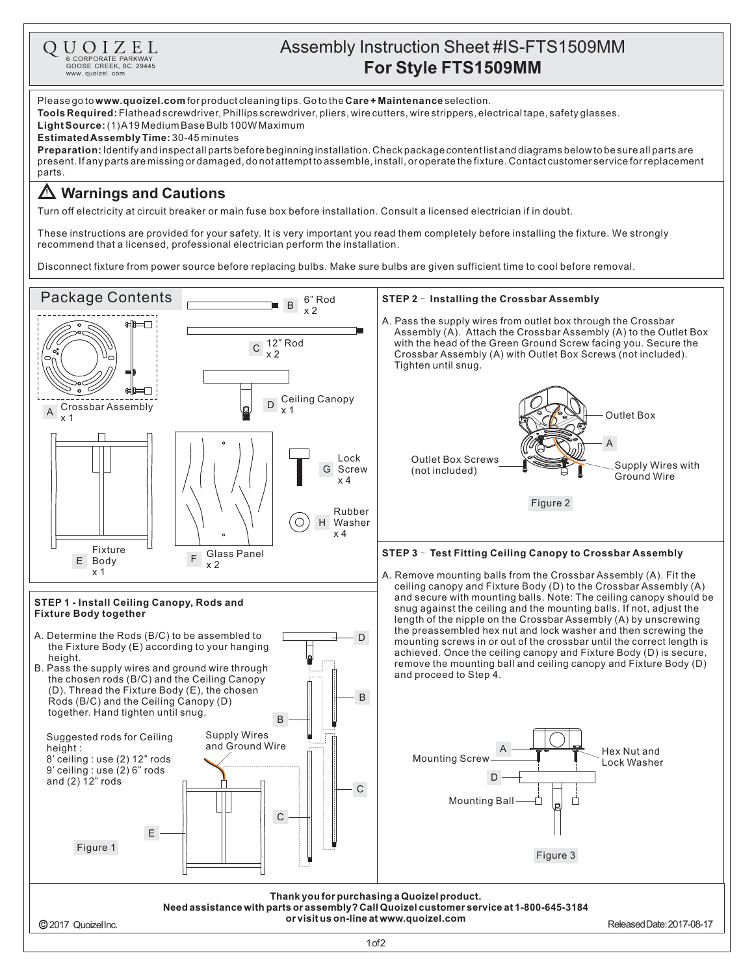

## Assembly Instruction Sheet #IS-FTS1509MM **For Style FTS1509MM**